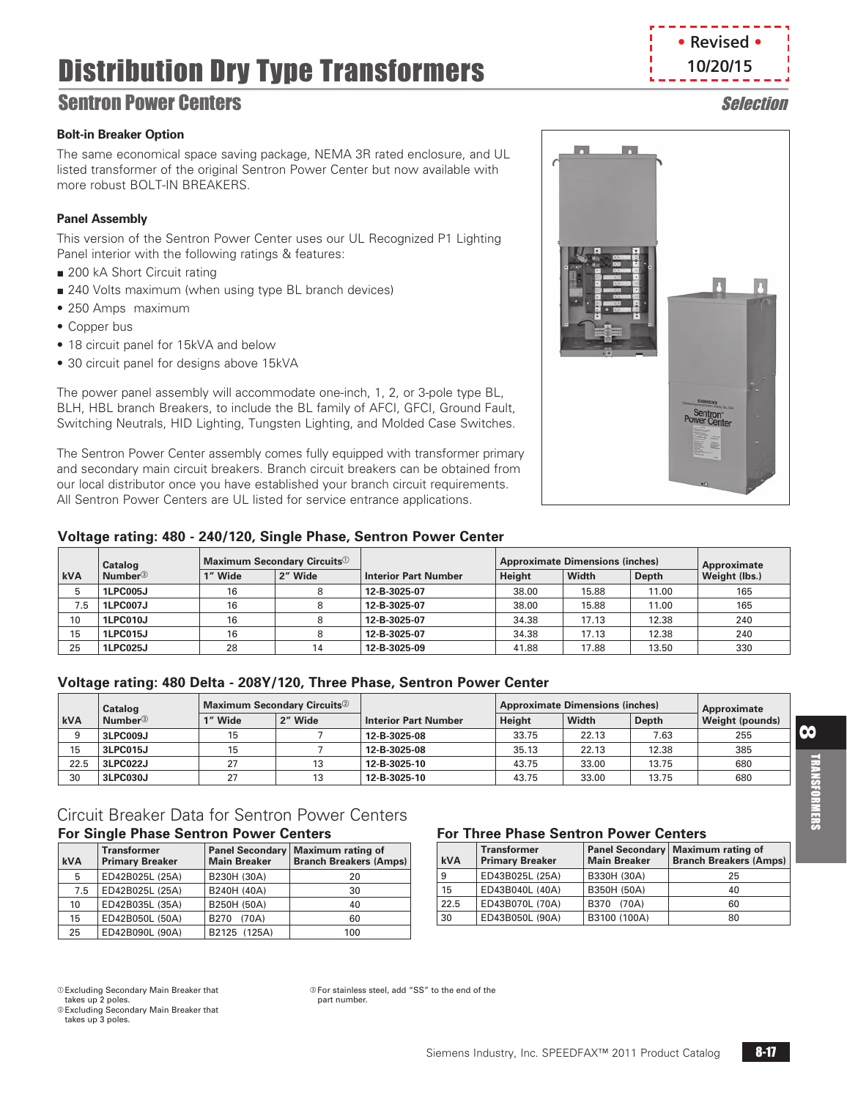# Distribution Dry Type Transformers

# **Sentron Power Centers Selection**

### **Bolt-in Breaker Option**

The same economical space saving package, NEMA 3R rated enclosure, and UL listed transformer of the original Sentron Power Center but now available with more robust BOLT-IN BREAKERS.

## **Panel Assembly**

This version of the Sentron Power Center uses our UL Recognized P1 Lighting Panel interior with the following ratings & features:

- 200 kA Short Circuit rating
- 240 Volts maximum (when using type BL branch devices)
- 250 Amps maximum
- Copper bus
- 18 circuit panel for 15kVA and below
- 30 circuit panel for designs above 15kVA

The power panel assembly will accommodate one-inch, 1, 2, or 3-pole type BL, BLH, HBL branch Breakers, to include the BL family of AFCI, GFCI, Ground Fault, Switching Neutrals, HID Lighting, Tungsten Lighting, and Molded Case Switches.

The Sentron Power Center assembly comes fully equipped with transformer primary and secondary main circuit breakers. Branch circuit breakers can be obtained from our local distributor once you have established your branch circuit requirements. All Sentron Power Centers are UL listed for service entrance applications.

### **Voltage rating: 480 - 240/120, Single Phase, Sentron Power Center**

|     | Catalog             |         | Maximum Secondary Circuits <sup>10</sup> |                             |        | <b>Approximate Dimensions (inches)</b> |       | Approximate   |
|-----|---------------------|---------|------------------------------------------|-----------------------------|--------|----------------------------------------|-------|---------------|
| kVA | Number <sup>3</sup> | 1" Wide | 2" Wide                                  | <b>Interior Part Number</b> | Height | <b>Width</b>                           | Depth | Weight (lbs.) |
| 5   | <b>1LPC005J</b>     | 16      |                                          | 12-B-3025-07                | 38.00  | 15.88                                  | 11.00 | 165           |
| 7.5 | <b>1LPC007J</b>     | 16      |                                          | 12-B-3025-07                | 38.00  | 15.88                                  | 11.00 | 165           |
| 10  | 1LPC010J            | 16      |                                          | 12-B-3025-07                | 34.38  | 17.13                                  | 12.38 | 240           |
| 15  | <b>1LPC015J</b>     | 16      |                                          | 12-B-3025-07                | 34.38  | 17.13                                  | 12.38 | 240           |
| 25  | <b>1LPC025J</b>     | 28      | 14                                       | 12-B-3025-09                | 41.88  | 17.88                                  | 13.50 | 330           |

## **Voltage rating: 480 Delta - 208Y/120, Three Phase, Sentron Power Center**

|            | Catalog                    |         | Maximum Secondary Circuits <sup>2</sup> |                             |        | <b>Approximate Dimensions (inches)</b> |       | Approximate            |
|------------|----------------------------|---------|-----------------------------------------|-----------------------------|--------|----------------------------------------|-------|------------------------|
| <b>kVA</b> | <b>Number</b> <sup>3</sup> | 1" Wide | 2" Wide                                 | <b>Interior Part Number</b> | Height | Width                                  | Depth | <b>Weight (pounds)</b> |
|            | 3LPC009J                   | 15      |                                         | 12-B-3025-08                | 33.75  | 22.13                                  | 7.63  | 255                    |
| 15         | 3LPC015J                   | 15      |                                         | 12-B-3025-08                | 35.13  | 22.13                                  | 12.38 | 385                    |
| 22.5       | 3LPC022J                   | 27      | 13                                      | 12-B-3025-10                | 43.75  | 33.00                                  | 13.75 | 680                    |
| 30         | 3LPC030J                   | 27      | 13                                      | 12-B-3025-10                | 43.75  | 33.00                                  | 13.75 | 680                    |

### Circuit Breaker Data for Sentron Power Centers **For Single Phase Sentron Power Centers**

| <b>kVA</b> | <b>Transformer</b><br><b>Primary Breaker</b> | <b>Panel Secondary</b><br><b>Main Breaker</b> | Maximum rating of<br><b>Branch Breakers (Amps)</b> |
|------------|----------------------------------------------|-----------------------------------------------|----------------------------------------------------|
| 5          | ED42B025L (25A)                              | B230H (30A)                                   | 20                                                 |
| 7.5        | ED42B025L (25A)                              | B240H (40A)                                   | 30                                                 |
| 10         | ED42B035L (35A)                              | B250H (50A)                                   | 40                                                 |
| 15         | ED42B050L (50A)                              | B <sub>270</sub><br>(70A)                     | 60                                                 |
| 25         | ED42B090L (90A)                              | B2125 (125A)                                  | 100                                                |

## **For Three Phase Sentron Power Centers**

| <b>kVA</b> | <b>Transformer</b><br><b>Primary Breaker</b> | <b>Main Breaker</b> | Panel Secondary   Maximum rating of<br><b>Branch Breakers (Amps)</b> |
|------------|----------------------------------------------|---------------------|----------------------------------------------------------------------|
| 9          | ED43B025L (25A)                              | B330H (30A)         | 25                                                                   |
| 15         | ED43B040L (40A)                              | B350H (50A)         | 40                                                                   |
| 22.5       | ED43B070L (70A)                              | B370 (70A)          | 60                                                                   |
| 30         | ED43B050L (90A)                              | B3100 (100A)        | 80                                                                   |

a Excluding Secondary Main Breaker that

takes up 2 poles.

**Excluding Secondary Main Breaker that** takes up 3 poles.

 For stainless steel, add "SS" to the end of the part number.



**• Revised • 10/20/15**

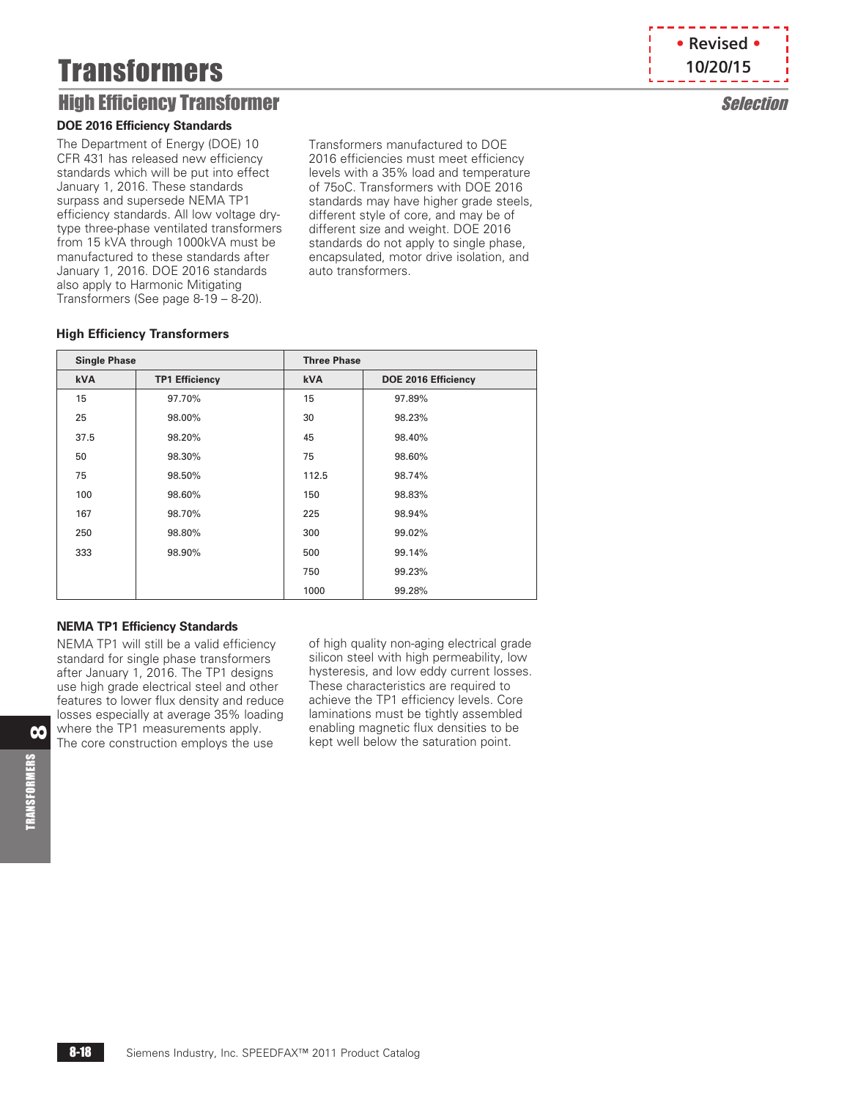# **Transformers**

# High Efficiency Transformer Selection

#### **DOE 2016 Efficiency Standards**

The Department of Energy (DOE) 10 CFR 431 has released new efficiency standards which will be put into effect January 1, 2016. These standards surpass and supersede NEMA TP1 efficiency standards. All low voltage drytype three-phase ventilated transformers from 15 kVA through 1000kVA must be manufactured to these standards after January 1, 2016. DOE 2016 standards also apply to Harmonic Mitigating Transformers (See page [8-19](#page-2-0) – [8-20\)](#page-3-0).

Transformers manufactured to DOE 2016 efficiencies must meet efficiency levels with a 35% load and temperature of 75oC. Transformers with DOE 2016 standards may have higher grade steels, different style of core, and may be of different size and weight. DOE 2016 standards do not apply to single phase, encapsulated, motor drive isolation, and auto transformers.

#### **High Efficiency Transformers**

| <b>Single Phase</b> |                       | <b>Three Phase</b> |                     |
|---------------------|-----------------------|--------------------|---------------------|
| <b>kVA</b>          | <b>TP1 Efficiency</b> | <b>kVA</b>         | DOE 2016 Efficiency |
| 15                  | 97.70%                | 15                 | 97.89%              |
| 25                  | 98.00%                | 30                 | 98.23%              |
| 37.5                | 98.20%                | 45                 | 98.40%              |
| 50                  | 98.30%                | 75                 | 98.60%              |
| 75                  | 98.50%                | 112.5              | 98.74%              |
| 100                 | 98.60%                | 150                | 98.83%              |
| 167                 | 98.70%                | 225                | 98.94%              |
| 250                 | 98.80%                | 300                | 99.02%              |
| 333                 | 98.90%                | 500                | 99.14%              |
|                     |                       | 750                | 99.23%              |
|                     |                       | 1000               | 99.28%              |

#### **NEMA TP1 Efficiency Standards**

NEMA TP1 will still be a valid efficiency standard for single phase transformers after January 1, 2016. The TP1 designs use high grade electrical steel and other features to lower flux density and reduce losses especially at average 35% loading where the TP1 measurements apply. The core construction employs the use

of high quality non-aging electrical grade silicon steel with high permeability, low hysteresis, and low eddy current losses. These characteristics are required to achieve the TP1 efficiency levels. Core laminations must be tightly assembled enabling magnetic flux densities to be kept well below the saturation point.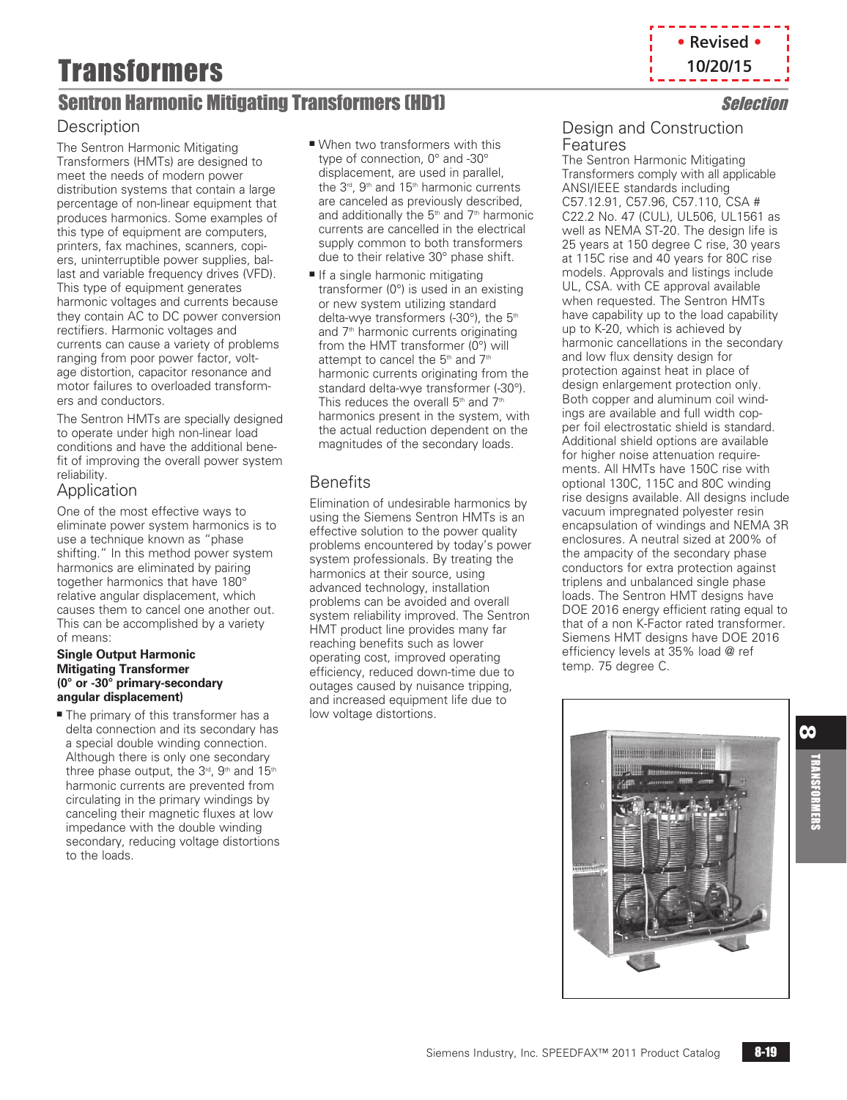# Transformers

# <span id="page-2-0"></span>Sentron Harmonic Mitigating Transformers (HD1) Selection

## **Description**

The Sentron Harmonic Mitigating Transformers (HMTs) are designed to meet the needs of modern power distribution systems that contain a large percentage of non-linear equipment that produces harmonics. Some examples of this type of equipment are computers, printers, fax machines, scanners, copiers, uninterruptible power supplies, ballast and variable frequency drives (VFD). This type of equipment generates harmonic voltages and currents because they contain AC to DC power conversion rectifiers. Harmonic voltages and currents can cause a variety of problems ranging from poor power factor, voltage distortion, capacitor resonance and motor failures to overloaded transformers and conductors.

The Sentron HMTs are specially designed to operate under high non-linear load conditions and have the additional benefit of improving the overall power system reliability.

# Application

One of the most effective ways to eliminate power system harmonics is to use a technique known as "phase shifting." In this method power system harmonics are eliminated by pairing together harmonics that have 180° relative angular displacement, which causes them to cancel one another out. This can be accomplished by a variety of means:

#### **Single Output Harmonic Mitigating Transformer (0° or -30° primary-secondary angular displacement)**

 $\blacksquare$  The primary of this transformer has a delta connection and its secondary has a special double winding connection. Although there is only one secondary three phase output, the  $3<sup>rd</sup>$ ,  $9<sup>th</sup>$  and  $15<sup>th</sup>$ harmonic currents are prevented from circulating in the primary windings by canceling their magnetic fluxes at low impedance with the double winding secondary, reducing voltage distortions to the loads.

- $\blacksquare$  When two transformers with this type of connection, 0° and -30° displacement, are used in parallel. the  $3<sup>rd</sup>$ ,  $9<sup>th</sup>$  and  $15<sup>th</sup>$  harmonic currents are canceled as previously described, and additionally the  $5<sup>th</sup>$  and  $7<sup>th</sup>$  harmonic currents are cancelled in the electrical supply common to both transformers due to their relative 30° phase shift.
- If a single harmonic mitigating transformer (0°) is used in an existing or new system utilizing standard delta-wye transformers (-30°), the 5<sup>th</sup> and 7<sup>th</sup> harmonic currents originating from the HMT transformer  $(0^{\circ})$  will attempt to cancel the  $5<sup>th</sup>$  and  $7<sup>th</sup>$ harmonic currents originating from the standard delta-wye transformer (-30°). This reduces the overall  $5<sup>th</sup>$  and  $7<sup>th</sup>$ harmonics present in the system, with the actual reduction dependent on the magnitudes of the secondary loads.

# **Benefits**

Elimination of undesirable harmonics by using the Siemens Sentron HMTs is an effective solution to the power quality problems encountered by today's power system professionals. By treating the harmonics at their source, using advanced technology, installation problems can be avoided and overall system reliability improved. The Sentron HMT product line provides many far reaching benefits such as lower operating cost, improved operating efficiency, reduced down-time due to outages caused by nuisance tripping, and increased equipment life due to low voltage distortions.



## Design and Construction Features

The Sentron Harmonic Mitigating Transformers comply with all applicable ANSI/IEEE standards including C57.12.91, C57.96, C57.110, CSA # C22.2 No. 47 (CUL), UL506, UL1561 as well as NEMA ST-20. The design life is 25 years at 150 degree C rise, 30 years at 115C rise and 40 years for 80C rise models. Approvals and listings include UL, CSA. with CE approval available when requested. The Sentron HMTs have capability up to the load capability up to K-20, which is achieved by harmonic cancellations in the secondary and low flux density design for protection against heat in place of design enlargement protection only. Both copper and aluminum coil windings are available and full width copper foil electrostatic shield is standard. Additional shield options are available for higher noise attenuation requirements. All HMTs have 150C rise with optional 130C, 115C and 80C winding rise designs available. All designs include vacuum impregnated polyester resin encapsulation of windings and NEMA 3R enclosures. A neutral sized at 200% of the ampacity of the secondary phase conductors for extra protection against triplens and unbalanced single phase loads. The Sentron HMT designs have DOE 2016 energy efficient rating equal to that of a non K-Factor rated transformer. Siemens HMT designs have DOE 2016 efficiency levels at 35% load @ ref temp. 75 degree C.



8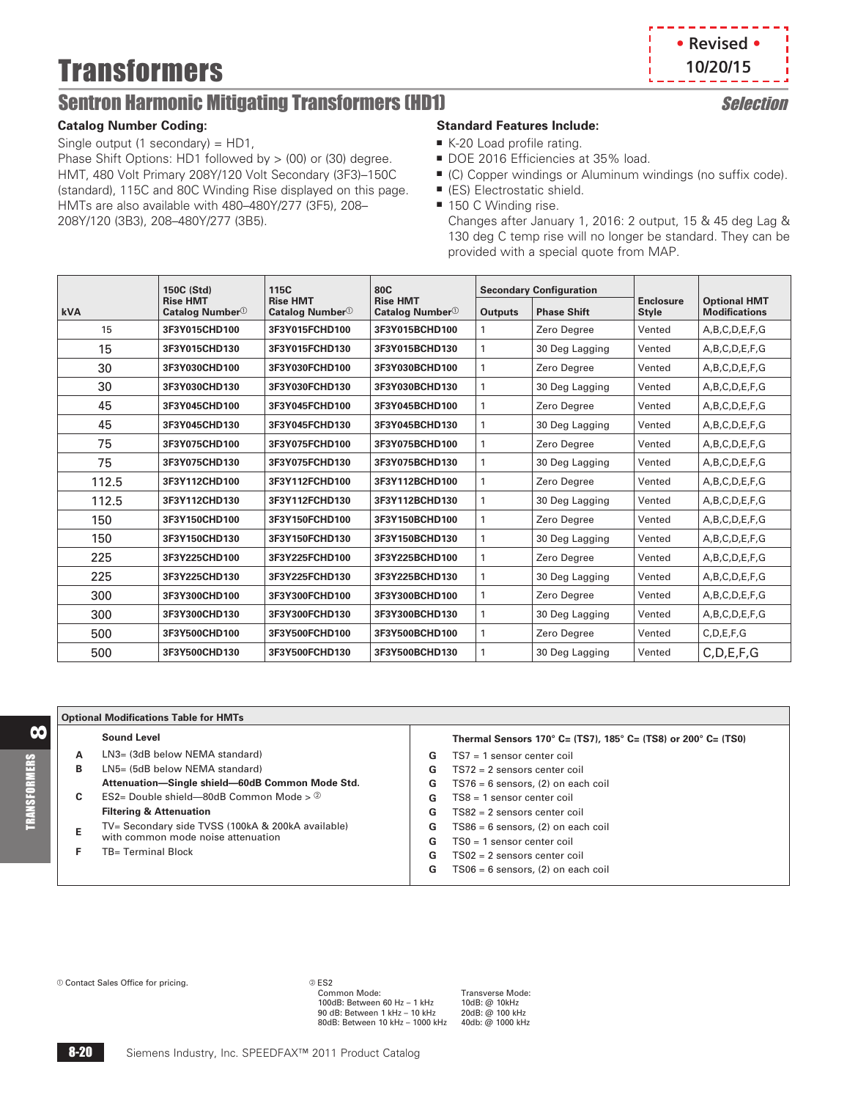# **Transformers**

# <span id="page-3-0"></span>Sentron Harmonic Mitigating Transformers (HD1) Selection

#### **Catalog Number Coding:**

Single output (1 secondary) =  $HD1$ , Phase Shift Options: HD1 followed by > (00) or (30) degree. HMT, 480 Volt Primary 208Y/120 Volt Secondary (3F3)–150C (standard), 115C and 80C Winding Rise displayed on this page. HMTs are also available with 480–480Y/277 (3F5), 208– 208Y/120 (3B3), 208–480Y/277 (3B5).

### **Standard Features Include:**

- $K-20$  Load profile rating.
- DOE 2016 Efficiencies at 35% load.
- (C) Copper windings or Aluminum windings (no suffix code).
- (ES) Electrostatic shield.
- 150 C Winding rise.

Changes after January 1, 2016: 2 output, 15 & 45 deg Lag & 130 deg C temp rise will no longer be standard. They can be provided with a special quote from MAP.

|       | 150C (Std)                                     | 115C                                           | 80C                                            |                | <b>Secondary Configuration</b> |                                  |                                             |
|-------|------------------------------------------------|------------------------------------------------|------------------------------------------------|----------------|--------------------------------|----------------------------------|---------------------------------------------|
| kVA   | <b>Rise HMT</b><br>Catalog Number <sup>1</sup> | <b>Rise HMT</b><br>Catalog Number <sup>1</sup> | <b>Rise HMT</b><br>Catalog Number <sup>1</sup> | <b>Outputs</b> | <b>Phase Shift</b>             | <b>Enclosure</b><br><b>Style</b> | <b>Optional HMT</b><br><b>Modifications</b> |
| 15    | 3F3Y015CHD100                                  | 3F3Y015FCHD100                                 | 3F3Y015BCHD100                                 |                | Zero Degree                    | Vented                           | A,B,C,D,E,F,G                               |
| 15    | 3F3Y015CHD130                                  | 3F3Y015FCHD130                                 | 3F3Y015BCHD130                                 | 1              | 30 Deg Lagging                 | Vented                           | A,B,C,D,E,F,G                               |
| 30    | 3F3Y030CHD100                                  | 3F3Y030FCHD100                                 | 3F3Y030BCHD100                                 | 1              | Zero Degree                    | Vented                           | A,B,C,D,E,F,G                               |
| 30    | 3F3Y030CHD130                                  | 3F3Y030FCHD130                                 | 3F3Y030BCHD130                                 | 1              | 30 Deg Lagging                 | Vented                           | A,B,C,D,E,F,G                               |
| 45    | 3F3Y045CHD100                                  | 3F3Y045FCHD100                                 | 3F3Y045BCHD100                                 |                | Zero Degree                    | Vented                           | A,B,C,D,E,F,G                               |
| 45    | 3F3Y045CHD130                                  | 3F3Y045FCHD130                                 | 3F3Y045BCHD130                                 | 1              | 30 Deg Lagging                 | Vented                           | A,B,C,D,E,F,G                               |
| 75    | 3F3Y075CHD100                                  | 3F3Y075FCHD100                                 | 3F3Y075BCHD100                                 | $\mathbf{1}$   | Zero Degree                    | Vented                           | A,B,C,D,E,F,G                               |
| 75    | 3F3Y075CHD130                                  | 3F3Y075FCHD130                                 | 3F3Y075BCHD130                                 | 1              | 30 Deg Lagging                 | Vented                           | A,B,C,D,E,F,G                               |
| 112.5 | 3F3Y112CHD100                                  | 3F3Y112FCHD100                                 | 3F3Y112BCHD100                                 |                | Zero Degree                    | Vented                           | A,B,C,D,E,F,G                               |
| 112.5 | 3F3Y112CHD130                                  | 3F3Y112FCHD130                                 | 3F3Y112BCHD130                                 | 1              | 30 Deg Lagging                 | Vented                           | A,B,C,D,E,F,G                               |
| 150   | 3F3Y150CHD100                                  | 3F3Y150FCHD100                                 | 3F3Y150BCHD100                                 | 1              | Zero Degree                    | Vented                           | A,B,C,D,E,F,G                               |
| 150   | 3F3Y150CHD130                                  | 3F3Y150FCHD130                                 | 3F3Y150BCHD130                                 | $\mathbf{1}$   | 30 Deg Lagging                 | Vented                           | A,B,C,D,E,F,G                               |
| 225   | 3F3Y225CHD100                                  | 3F3Y225FCHD100                                 | 3F3Y225BCHD100                                 |                | Zero Degree                    | Vented                           | A,B,C,D,E,F,G                               |
| 225   | 3F3Y225CHD130                                  | 3F3Y225FCHD130                                 | 3F3Y225BCHD130                                 |                | 30 Deg Lagging                 | Vented                           | A,B,C,D,E,F,G                               |
| 300   | 3F3Y300CHD100                                  | 3F3Y300FCHD100                                 | 3F3Y300BCHD100                                 |                | Zero Degree                    | Vented                           | A,B,C,D,E,F,G                               |
| 300   | 3F3Y300CHD130                                  | 3F3Y300FCHD130                                 | 3F3Y300BCHD130                                 |                | 30 Deg Lagging                 | Vented                           | A,B,C,D,E,F,G                               |
| 500   | 3F3Y500CHD100                                  | 3F3Y500FCHD100                                 | 3F3Y500BCHD100                                 | 1              | Zero Degree                    | Vented                           | C.D.E.F.G                                   |
| 500   | 3F3Y500CHD130                                  | 3F3Y500FCHD130                                 | 3F3Y500BCHD130                                 |                | 30 Deg Lagging                 | Vented                           | C, D, E, F, G                               |

#### **Optional Modifications Table for HMTs Thermal Sensors 170° C= (TS7), 185° C= (TS8) or 200° C= (TS0) G** TS7 = 1 sensor center coil **G** TS72 = 2 sensors center coil **G** TS76 = 6 sensors, (2) on each coil **G** TS8 = 1 sensor center coil **G** TS82 = 2 sensors center coil **G** TS86 = 6 sensors, (2) on each coil **G** TS0 = 1 sensor center coil **G** TS02 = 2 sensors center coil **G** TS06 = 6 sensors, (2) on each coil **Sound Level A** LN3= (3dB below NEMA standard) **B** LN5= (5dB below NEMA standard) **Attenuation—Single shield—60dB Common Mode Std. C** ES2= Double shield—80dB Common Mode > **Filtering & Attenuation E** TV= Secondary side TVSS (100kA & 200kA available) with common mode noise attenuation **F** TB= Terminal Block

**Contact Sales Office for pricing. ES2 ES2 Common Mode:** 

88

TRANSFORMERS

**TRANSFORMERS** 

100dB: Between 60 Hz - 1 kHz 90 dB: Between 1 kHz – 10 kHz 20dB: @ 100 kHz 80dB: Between 10 kHz – 1000 kHz 40db: @ 1000 kHz

Transverse Mode:<br>10dB: @ 10kHz<br>20dB: @ 100 kHz

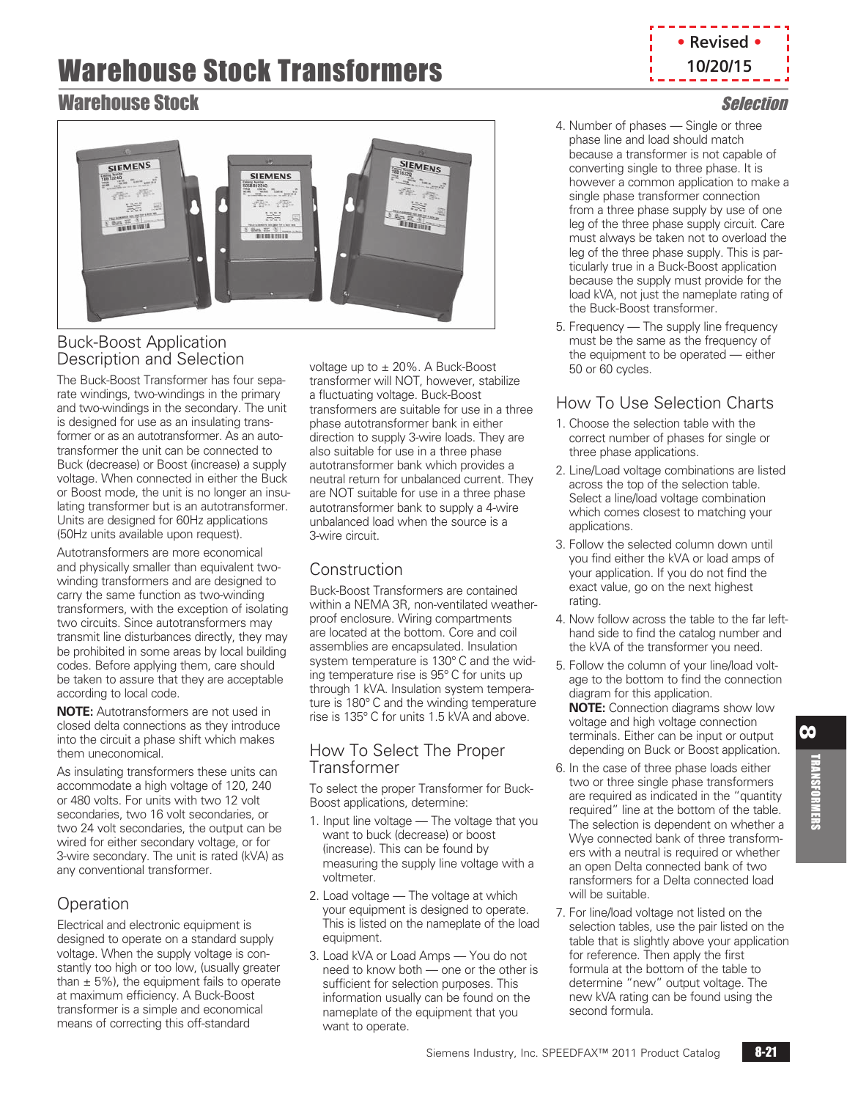# **• Revised • 10/20/15**

# Warehouse Stock Selection



# Buck-Boost Application Description and Selection

The Buck-Boost Transformer has four separate windings, two-windings in the primary and two-windings in the secondary. The unit is designed for use as an insulating transformer or as an autotransformer. As an autotransformer the unit can be connected to Buck (decrease) or Boost (increase) a supply voltage. When connected in either the Buck or Boost mode, the unit is no longer an insulating transformer but is an autotransformer. Units are designed for 60Hz applications (50Hz units available upon request).

Autotransformers are more economical and physically smaller than equivalent twowinding transformers and are designed to carry the same function as two-winding transformers, with the exception of isolating two circuits. Since autotransformers may transmit line disturbances directly, they may be prohibited in some areas by local building codes. Before applying them, care should be taken to assure that they are acceptable according to local code.

**NOTE:** Autotransformers are not used in closed delta connections as they introduce into the circuit a phase shift which makes them uneconomical.

As insulating transformers these units can accommodate a high voltage of 120, 240 or 480 volts. For units with two 12 volt secondaries, two 16 volt secondaries, or two 24 volt secondaries, the output can be wired for either secondary voltage, or for 3-wire secondary. The unit is rated (kVA) as any conventional transformer.

# **Operation**

Electrical and electronic equipment is designed to operate on a standard supply voltage. When the supply voltage is constantly too high or too low, (usually greater than  $\pm$  5%), the equipment fails to operate at maximum efficiency. A Buck-Boost transformer is a simple and economical means of correcting this off-standard

voltage up to ± 20%. A Buck-Boost transformer will NOT, however, stabilize a fluctuating voltage. Buck-Boost transformers are suitable for use in a three phase autotransformer bank in either direction to supply 3-wire loads. They are also suitable for use in a three phase autotransformer bank which provides a neutral return for unbalanced current. They are NOT suitable for use in a three phase autotransformer bank to supply a 4-wire unbalanced load when the source is a 3-wire circuit.

# Construction

Buck-Boost Transformers are contained within a NEMA 3R, non-ventilated weatherproof enclosure. Wiring compartments are located at the bottom. Core and coil assemblies are encapsulated. Insulation system temperature is 130° C and the widing temperature rise is 95° C for units up through 1 kVA. Insulation system temperature is 180° C and the winding temperature rise is 135° C for units 1.5 kVA and above.

## How To Select The Proper Transformer

To select the proper Transformer for Buck-Boost applications, determine:

- 1. Input line voltage The voltage that you want to buck (decrease) or boost (increase). This can be found by measuring the supply line voltage with a voltmeter.
- 2. Load voltage The voltage at which your equipment is designed to operate. This is listed on the nameplate of the load equipment.
- 3. Load kVA or Load Amps You do not need to know both — one or the other is sufficient for selection purposes. This information usually can be found on the nameplate of the equipment that you want to operate.
- 4. Number of phases Single or three phase line and load should match because a transformer is not capable of converting single to three phase. It is however a common application to make a single phase transformer connection from a three phase supply by use of one leg of the three phase supply circuit. Care must always be taken not to overload the leg of the three phase supply. This is particularly true in a Buck-Boost application because the supply must provide for the load kVA, not just the nameplate rating of the Buck-Boost transformer.
- 5. Frequency The supply line frequency must be the same as the frequency of the equipment to be operated — either 50 or 60 cycles.

# How To Use Selection Charts

- 1. Choose the selection table with the correct number of phases for single or three phase applications.
- 2. Line/Load voltage combinations are listed across the top of the selection table. Select a line/load voltage combination which comes closest to matching your applications.
- 3. Follow the selected column down until you find either the kVA or load amps of your application. If you do not find the exact value, go on the next highest rating.
- 4. Now follow across the table to the far lefthand side to find the catalog number and the kVA of the transformer you need.
- 5. Follow the column of your line/load voltage to the bottom to find the connection diagram for this application. **NOTE:** Connection diagrams show low voltage and high voltage connection terminals. Either can be input or output depending on Buck or Boost application.
- 6. In the case of three phase loads either two or three single phase transformers are required as indicated in the "quantity required" line at the bottom of the table. The selection is dependent on whether a Wye connected bank of three transformers with a neutral is required or whether an open Delta connected bank of two ransformers for a Delta connected load will be suitable.
- 7. For line/load voltage not listed on the selection tables, use the pair listed on the table that is slightly above your application for reference. Then apply the first formula at the bottom of the table to determine "new" output voltage. The new kVA rating can be found using the second formula.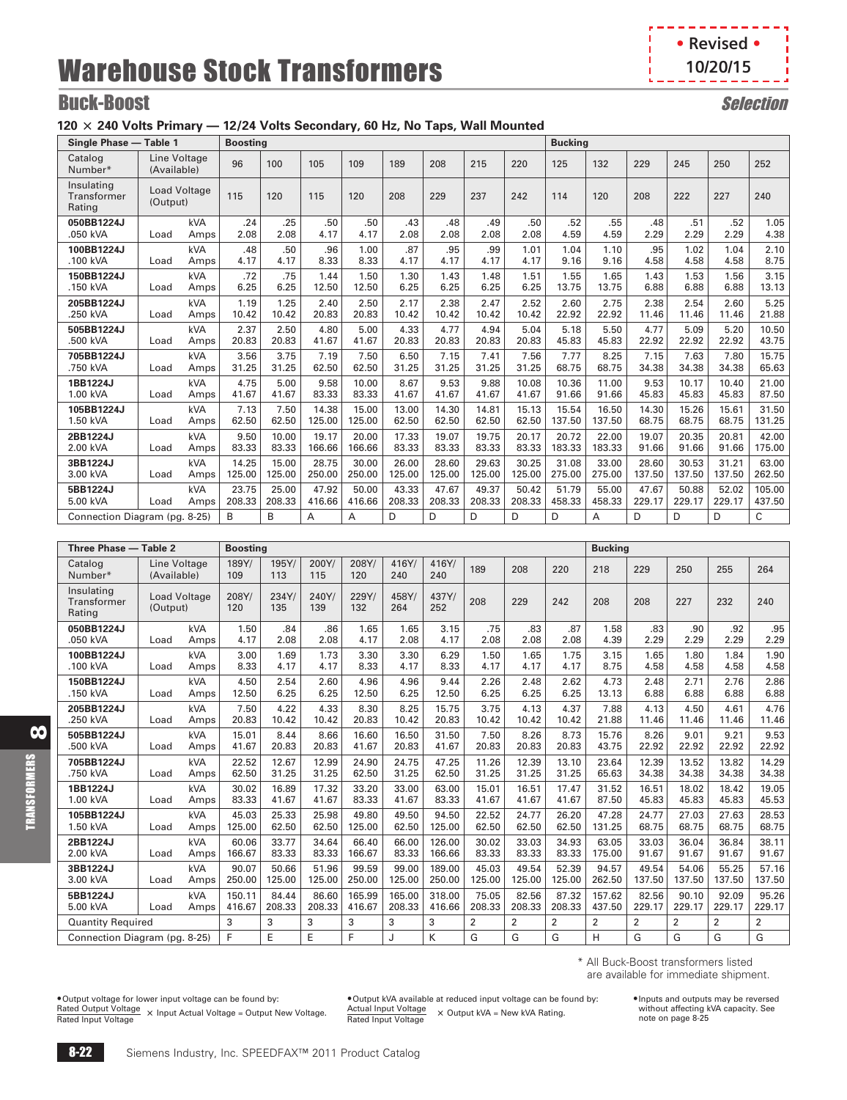**• Revised • 10/20/15**п

J.

# **Buck-Boost** Selection

## **120** @ **240 Volts Primary — 12/24 Volts Secondary, 60 Hz, No Taps, Wall Mounted**

| Single Phase - Table 1              |                                 |            | <b>Boosting</b> |        |        |        |        |        |        |        | <b>Bucking</b> |        |        |        |        |        |
|-------------------------------------|---------------------------------|------------|-----------------|--------|--------|--------|--------|--------|--------|--------|----------------|--------|--------|--------|--------|--------|
| Catalog<br>Number*                  | Line Voltage<br>(Available)     |            | 96              | 100    | 105    | 109    | 189    | 208    | 215    | 220    | 125            | 132    | 229    | 245    | 250    | 252    |
| Insulating<br>Transformer<br>Rating | <b>Load Voltage</b><br>(Output) |            | 115             | 120    | 115    | 120    | 208    | 229    | 237    | 242    | 114            | 120    | 208    | 222    | 227    | 240    |
| 050BB1224J                          | Load                            | kVA        | .24             | .25    | .50    | .50    | .43    | .48    | .49    | .50    | .52            | .55    | .48    | .51    | .52    | 1.05   |
| .050 kVA                            |                                 | Amps       | 2.08            | 2.08   | 4.17   | 4.17   | 2.08   | 2.08   | 2.08   | 2.08   | 4.59           | 4.59   | 2.29   | 2.29   | 2.29   | 4.38   |
| 100BB1224J                          | Load                            | kVA        | .48             | .50    | .96    | 1.00   | .87    | .95    | .99    | 1.01   | 1.04           | 1.10   | .95    | 1.02   | 1.04   | 2.10   |
| .100 kVA                            |                                 | Amps       | 4.17            | 4.17   | 8.33   | 8.33   | 4.17   | 4.17   | 4.17   | 4.17   | 9.16           | 9.16   | 4.58   | 4.58   | 4.58   | 8.75   |
| 150BB1224J                          | Load                            | kVA        | .72             | .75    | 1.44   | 1.50   | 1.30   | 1.43   | 1.48   | 1.51   | 1.55           | 1.65   | 1.43   | 1.53   | 1.56   | 3.15   |
| .150 kVA                            |                                 | Amps       | 6.25            | 6.25   | 12.50  | 12.50  | 6.25   | 6.25   | 6.25   | 6.25   | 13.75          | 13.75  | 6.88   | 6.88   | 6.88   | 13.13  |
| 205BB1224J                          | Load                            | <b>kVA</b> | 1.19            | 1.25   | 2.40   | 2.50   | 2.17   | 2.38   | 2.47   | 2.52   | 2.60           | 2.75   | 2.38   | 2.54   | 2.60   | 5.25   |
| .250 kVA                            |                                 | Amps       | 10.42           | 10.42  | 20.83  | 20.83  | 10.42  | 10.42  | 10.42  | 10.42  | 22.92          | 22.92  | 11.46  | 11.46  | 11.46  | 21.88  |
| 505BB1224J                          | Load                            | kVA        | 2.37            | 2.50   | 4.80   | 5.00   | 4.33   | 4.77   | 4.94   | 5.04   | 5.18           | 5.50   | 4.77   | 5.09   | 5.20   | 10.50  |
| .500 kVA                            |                                 | Amps       | 20.83           | 20.83  | 41.67  | 41.67  | 20.83  | 20.83  | 20.83  | 20.83  | 45.83          | 45.83  | 22.92  | 22.92  | 22.92  | 43.75  |
| 705BB1224J                          | Load                            | <b>kVA</b> | 3.56            | 3.75   | 7.19   | 7.50   | 6.50   | 7.15   | 7.41   | 7.56   | 7.77           | 8.25   | 7.15   | 7.63   | 7.80   | 15.75  |
| .750 kVA                            |                                 | Amps       | 31.25           | 31.25  | 62.50  | 62.50  | 31.25  | 31.25  | 31.25  | 31.25  | 68.75          | 68.75  | 34.38  | 34.38  | 34.38  | 65.63  |
| 1BB1224J                            | Load                            | kVA        | 4.75            | 5.00   | 9.58   | 10.00  | 8.67   | 9.53   | 9.88   | 10.08  | 10.36          | 11.00  | 9.53   | 10.17  | 10.40  | 21.00  |
| 1.00 kVA                            |                                 | Amps       | 41.67           | 41.67  | 83.33  | 83.33  | 41.67  | 41.67  | 41.67  | 41.67  | 91.66          | 91.66  | 45.83  | 45.83  | 45.83  | 87.50  |
| 105BB1224J                          | Load                            | <b>kVA</b> | 7.13            | 7.50   | 14.38  | 15.00  | 13.00  | 14.30  | 14.81  | 15.13  | 15.54          | 16.50  | 14.30  | 15.26  | 15.61  | 31.50  |
| 1.50 kVA                            |                                 | Amps       | 62.50           | 62.50  | 125.00 | 125.00 | 62.50  | 62.50  | 62.50  | 62.50  | 137.50         | 137.50 | 68.75  | 68.75  | 68.75  | 131.25 |
| 2BB1224J                            | Load                            | <b>kVA</b> | 9.50            | 10.00  | 19.17  | 20.00  | 17.33  | 19.07  | 19.75  | 20.17  | 20.72          | 22.00  | 19.07  | 20.35  | 20.81  | 42.00  |
| 2.00 kVA                            |                                 | Amps       | 83.33           | 83.33  | 166.66 | 166.66 | 83.33  | 83.33  | 83.33  | 83.33  | 183.33         | 183.33 | 91.66  | 91.66  | 91.66  | 175.00 |
| 3BB1224J                            | Load                            | kVA        | 14.25           | 15.00  | 28.75  | 30.00  | 26.00  | 28.60  | 29.63  | 30.25  | 31.08          | 33.00  | 28.60  | 30.53  | 31.21  | 63.00  |
| 3.00 kVA                            |                                 | Amps       | 125.00          | 125.00 | 250.00 | 250.00 | 125.00 | 125.00 | 125.00 | 125.00 | 275.00         | 275.00 | 137.50 | 137.50 | 137.50 | 262.50 |
| 5BB1224J                            | Load                            | kVA        | 23.75           | 25.00  | 47.92  | 50.00  | 43.33  | 47.67  | 49.37  | 50.42  | 51.79          | 55.00  | 47.67  | 50.88  | 52.02  | 105.00 |
| 5.00 kVA                            |                                 | Amps       | 208.33          | 208.33 | 416.66 | 416.66 | 208.33 | 208.33 | 208.33 | 208.33 | 458.33         | 458.33 | 229.17 | 229.17 | 229.17 | 437.50 |
| Connection Diagram (pg. 8-25)       |                                 |            | <sub>R</sub>    | B      | A      | A      | D      | D.     | D.     | D.     | D.             | A      | D      | D      | D      | C      |

| Three Phase - Table 2               |                                 |      | <b>Boosting</b> |              |              |              |              |              |                |                |                | <b>Bucking</b> |                |        |                |                |
|-------------------------------------|---------------------------------|------|-----------------|--------------|--------------|--------------|--------------|--------------|----------------|----------------|----------------|----------------|----------------|--------|----------------|----------------|
| Catalog<br>Number*                  | Line Voltage<br>(Available)     |      | 189Y/<br>109    | 195Y/<br>113 | 200Y/<br>115 | 208Y/<br>120 | 416Y/<br>240 | 416Y/<br>240 | 189            | 208            | 220            | 218            | 229            | 250    | 255            | 264            |
| Insulating<br>Transformer<br>Rating | <b>Load Voltage</b><br>(Output) |      | 208Y/<br>120    | 234Y/<br>135 | 240Y/<br>139 | 229Y/<br>132 | 458Y/<br>264 | 437Y/<br>252 | 208            | 229            | 242            | 208            | 208            | 227    | 232            | 240            |
| 050BB1224J                          | Load                            | kVA  | 1.50            | .84          | .86          | 1.65         | 1.65         | 3.15         | .75            | .83            | .87            | 1.58           | .83            | .90    | .92            | .95            |
| .050 kVA                            |                                 | Amps | 4.17            | 2.08         | 2.08         | 4.17         | 2.08         | 4.17         | 2.08           | 2.08           | 2.08           | 4.39           | 2.29           | 2.29   | 2.29           | 2.29           |
| 100BB1224J                          | Load                            | kVA  | 3.00            | 1.69         | 1.73         | 3.30         | 3.30         | 6.29         | 1.50           | 1.65           | 1.75           | 3.15           | 1.65           | 1.80   | 1.84           | 1.90           |
| .100 kVA                            |                                 | Amps | 8.33            | 4.17         | 4.17         | 8.33         | 4.17         | 8.33         | 4.17           | 4.17           | 4.17           | 8.75           | 4.58           | 4.58   | 4.58           | 4.58           |
| 150BB1224J                          | Load                            | kVA  | 4.50            | 2.54         | 2.60         | 4.96         | 4.96         | 9.44         | 2.26           | 2.48           | 2.62           | 4.73           | 2.48           | 2.71   | 2.76           | 2.86           |
| .150 kVA                            |                                 | Amps | 12.50           | 6.25         | 6.25         | 12.50        | 6.25         | 12.50        | 6.25           | 6.25           | 6.25           | 13.13          | 6.88           | 6.88   | 6.88           | 6.88           |
| 205BB1224J                          | Load                            | kVA  | 7.50            | 4.22         | 4.33         | 8.30         | 8.25         | 15.75        | 3.75           | 4.13           | 4.37           | 7.88           | 4.13           | 4.50   | 4.61           | 4.76           |
| .250 kVA                            |                                 | Amps | 20.83           | 10.42        | 10.42        | 20.83        | 10.42        | 20.83        | 10.42          | 10.42          | 10.42          | 21.88          | 11.46          | 11.46  | 11.46          | 11.46          |
| 505BB1224J                          | Load                            | kVA  | 15.01           | 8.44         | 8.66         | 16.60        | 16.50        | 31.50        | 7.50           | 8.26           | 8.73           | 15.76          | 8.26           | 9.01   | 9.21           | 9.53           |
| .500 kVA                            |                                 | Amps | 41.67           | 20.83        | 20.83        | 41.67        | 20.83        | 41.67        | 20.83          | 20.83          | 20.83          | 43.75          | 22.92          | 22.92  | 22.92          | 22.92          |
| 705BB1224J                          | Load                            | kVA  | 22.52           | 12.67        | 12.99        | 24.90        | 24.75        | 47.25        | 11.26          | 12.39          | 13.10          | 23.64          | 12.39          | 13.52  | 13.82          | 14.29          |
| .750 kVA                            |                                 | Amps | 62.50           | 31.25        | 31.25        | 62.50        | 31.25        | 62.50        | 31.25          | 31.25          | 31.25          | 65.63          | 34.38          | 34.38  | 34.38          | 34.38          |
| 1BB1224J                            | Load                            | kVA  | 30.02           | 16.89        | 17.32        | 33.20        | 33.00        | 63.00        | 15.01          | 16.51          | 17.47          | 31.52          | 16.51          | 18.02  | 18.42          | 19.05          |
| 1.00 kVA                            |                                 | Amps | 83.33           | 41.67        | 41.67        | 83.33        | 41.67        | 83.33        | 41.67          | 41.67          | 41.67          | 87.50          | 45.83          | 45.83  | 45.83          | 45.53          |
| 105BB1224J                          | Load                            | kVA  | 45.03           | 25.33        | 25.98        | 49.80        | 49.50        | 94.50        | 22.52          | 24.77          | 26.20          | 47.28          | 24.77          | 27.03  | 27.63          | 28.53          |
| 1.50 kVA                            |                                 | Amps | 125.00          | 62.50        | 62.50        | 125.00       | 62.50        | 125.00       | 62.50          | 62.50          | 62.50          | 131.25         | 68.75          | 68.75  | 68.75          | 68.75          |
| 2BB1224J                            | Load                            | kVA  | 60.06           | 33.77        | 34.64        | 66.40        | 66.00        | 126.00       | 30.02          | 33.03          | 34.93          | 63.05          | 33.03          | 36.04  | 36.84          | 38.11          |
| 2.00 kVA                            |                                 | Amps | 166.67          | 83.33        | 83.33        | 166.67       | 83.33        | 166.66       | 83.33          | 83.33          | 83.33          | 175.00         | 91.67          | 91.67  | 91.67          | 91.67          |
| 3BB1224J                            | Load                            | kVA  | 90.07           | 50.66        | 51.96        | 99.59        | 99.00        | 189.00       | 45.03          | 49.54          | 52.39          | 94.57          | 49.54          | 54.06  | 55.25          | 57.16          |
| 3.00 kVA                            |                                 | Amps | 250.00          | 125.00       | 125.00       | 250.00       | 125.00       | 250.00       | 125.00         | 125.00         | 125.00         | 262.50         | 137.50         | 137.50 | 137.50         | 137.50         |
| 5BB1224J                            | Load                            | kVA  | 150.11          | 84.44        | 86.60        | 165.99       | 165.00       | 318.00       | 75.05          | 82.56          | 87.32          | 157.62         | 82.56          | 90.10  | 92.09          | 95.26          |
| 5.00 kVA                            |                                 | Amps | 416.67          | 208.33       | 208.33       | 416.67       | 208.33       | 416.66       | 208.33         | 208.33         | 208.33         | 437.50         | 229.17         | 229.17 | 229.17         | 229.17         |
| <b>Quantity Required</b>            |                                 |      | 3               | 3            | 3            | 3            | 3            | 3            | $\overline{2}$ | $\overline{2}$ | $\overline{2}$ | $\overline{2}$ | $\overline{2}$ | 2      | $\overline{2}$ | $\overline{2}$ |
|                                     | Connection Diagram (pg. 8-25)   |      | F               | E            | E            | F            | J            | K            | G              | G              | G              | H              | G              | G      | G              | G              |

\* All Buck-Boost transformers listed are available for immediate shipment.

•Output voltage for lower input voltage can be found by: Rated Output Voltage Rated Input Voltage @ Input Actual Voltage = Output New Voltage.

•Output kVA available at reduced input voltage can be found by: Actual Input Voltage × Output kVA = New kVA Rating.<br>Rated Input Voltage

•Inputs and outputs may be reversed without affecting kVA capacity. See note on page [8-25](#page-8-0)

8

TRANSFORMERS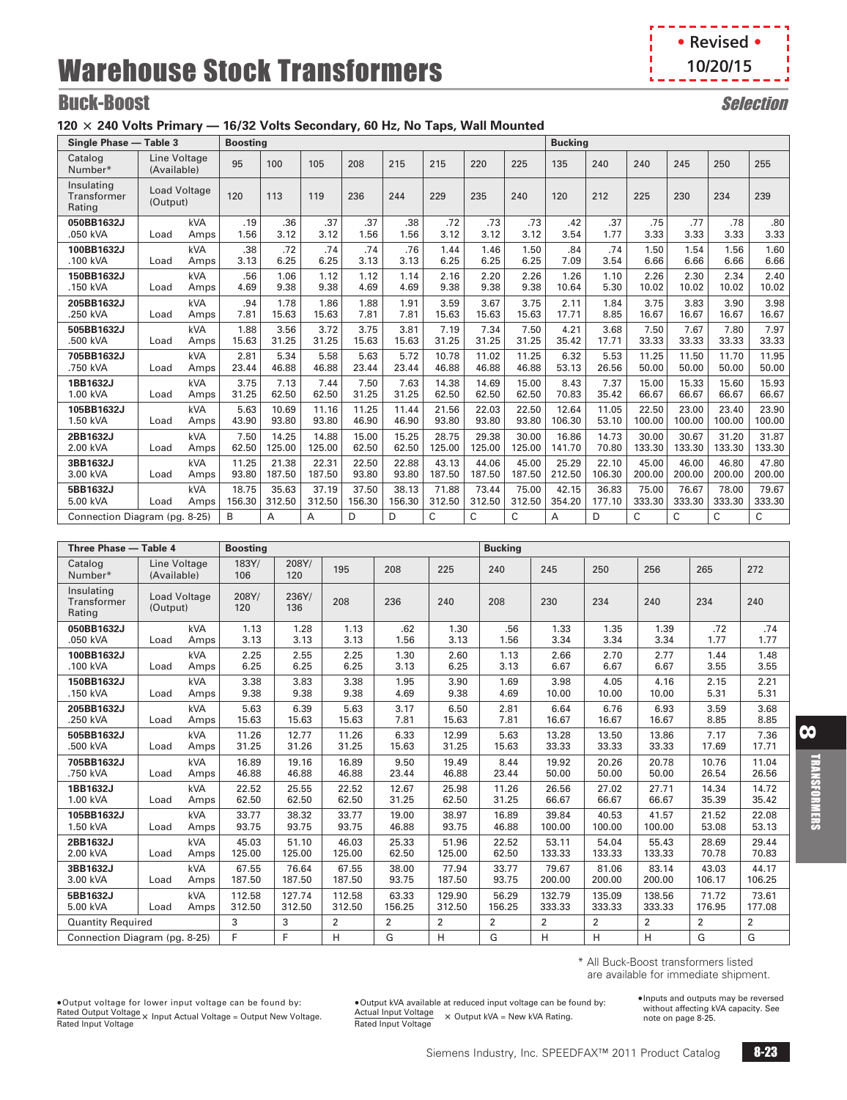- 4 **• Revised •** п **10/20/15**Ï I k. J.

# **Buck-Boost** Selection

## **120** @ **240 Volts Primary — 16/32 Volts Secondary, 60 Hz, No Taps, Wall Mounted**

|                                     | Single Phase - Table 3<br>Line Voltage |      |        |        |        |        |        |        |        |              | <b>Bucking</b> |        |        |        |        |        |
|-------------------------------------|----------------------------------------|------|--------|--------|--------|--------|--------|--------|--------|--------------|----------------|--------|--------|--------|--------|--------|
| Catalog<br>Number*                  | (Available)                            |      | 95     | 100    | 105    | 208    | 215    | 215    | 220    | 225          | 135            | 240    | 240    | 245    | 250    | 255    |
| Insulating<br>Transformer<br>Rating | <b>Load Voltage</b><br>(Output)        |      | 120    | 113    | 119    | 236    | 244    | 229    | 235    | 240          | 120            | 212    | 225    | 230    | 234    | 239    |
| 050BB1632J                          | Load                                   | kVA  | .19    | .36    | .37    | .37    | .38    | .72    | .73    | .73          | .42            | .37    | .75    | .77    | .78    | .80    |
| .050 kVA                            |                                        | Amps | 1.56   | 3.12   | 3.12   | 1.56   | 1.56   | 3.12   | 3.12   | 3.12         | 3.54           | 1.77   | 3.33   | 3.33   | 3.33   | 3.33   |
| 100BB1632J                          | Load                                   | kVA  | .38    | .72    | .74    | .74    | .76    | 1.44   | 1.46   | 1.50         | .84            | .74    | 1.50   | 1.54   | 1.56   | 1.60   |
| .100 kVA                            |                                        | Amps | 3.13   | 6.25   | 6.25   | 3.13   | 3.13   | 6.25   | 6.25   | 6.25         | 7.09           | 3.54   | 6.66   | 6.66   | 6.66   | 6.66   |
| 150BB1632J                          | Load                                   | kVA  | .56    | 1.06   | 1.12   | 1.12   | 1.14   | 2.16   | 2.20   | 2.26         | 1.26           | 1.10   | 2.26   | 2.30   | 2.34   | 2.40   |
| .150 kVA                            |                                        | Amps | 4.69   | 9.38   | 9.38   | 4.69   | 4.69   | 9.38   | 9.38   | 9.38         | 10.64          | 5.30   | 10.02  | 10.02  | 10.02  | 10.02  |
| 205BB1632J                          | Load                                   | kVA  | .94    | 1.78   | 1.86   | 1.88   | 1.91   | 3.59   | 3.67   | 3.75         | 2.11           | 1.84   | 3.75   | 3.83   | 3.90   | 3.98   |
| .250 kVA                            |                                        | Amps | 7.81   | 15.63  | 15.63  | 7.81   | 7.81   | 15.63  | 15.63  | 15.63        | 17.71          | 8.85   | 16.67  | 16.67  | 16.67  | 16.67  |
| 505BB1632J                          | Load                                   | kVA  | 1.88   | 3.56   | 3.72   | 3.75   | 3.81   | 7.19   | 7.34   | 7.50         | 4.21           | 3.68   | 7.50   | 7.67   | 7.80   | 7.97   |
| .500 kVA                            |                                        | Amps | 15.63  | 31.25  | 31.25  | 15.63  | 15.63  | 31.25  | 31.25  | 31.25        | 35.42          | 17.71  | 33.33  | 33.33  | 33.33  | 33.33  |
| 705BB1632J                          | Load                                   | kVA  | 2.81   | 5.34   | 5.58   | 5.63   | 5.72   | 10.78  | 11.02  | 11.25        | 6.32           | 5.53   | 11.25  | 11.50  | 11.70  | 11.95  |
| .750 kVA                            |                                        | Amps | 23.44  | 46.88  | 46.88  | 23.44  | 23.44  | 46.88  | 46.88  | 46.88        | 53.13          | 26.56  | 50.00  | 50.00  | 50.00  | 50.00  |
| 1BB1632J                            | Load                                   | kVA  | 3.75   | 7.13   | 7.44   | 7.50   | 7.63   | 14.38  | 14.69  | 15.00        | 8.43           | 7.37   | 15.00  | 15.33  | 15.60  | 15.93  |
| 1.00 kVA                            |                                        | Amps | 31.25  | 62.50  | 62.50  | 31.25  | 31.25  | 62.50  | 62.50  | 62.50        | 70.83          | 35.42  | 66.67  | 66.67  | 66.67  | 66.67  |
| 105BB1632J                          | Load                                   | kVA  | 5.63   | 10.69  | 11.16  | 11.25  | 11.44  | 21.56  | 22.03  | 22.50        | 12.64          | 11.05  | 22.50  | 23.00  | 23.40  | 23.90  |
| 1.50 kVA                            |                                        | Amps | 43.90  | 93.80  | 93.80  | 46.90  | 46.90  | 93.80  | 93.80  | 93.80        | 106.30         | 53.10  | 100.00 | 100.00 | 100.00 | 100.00 |
| 2BB1632J                            | Load                                   | kVA  | 7.50   | 14.25  | 14.88  | 15.00  | 15.25  | 28.75  | 29.38  | 30.00        | 16.86          | 14.73  | 30.00  | 30.67  | 31.20  | 31.87  |
| 2.00 kVA                            |                                        | Amps | 62.50  | 125.00 | 125.00 | 62.50  | 62.50  | 125.00 | 125.00 | 125.00       | 141.70         | 70.80  | 133.30 | 133.30 | 133.30 | 133.30 |
| 3BB1632J                            | Load                                   | kVA  | 11.25  | 21.38  | 22.31  | 22.50  | 22.88  | 43.13  | 44.06  | 45.00        | 25.29          | 22.10  | 45.00  | 46.00  | 46.80  | 47.80  |
| 3.00 kVA                            |                                        | Amps | 93.80  | 187.50 | 187.50 | 93.80  | 93.80  | 187.50 | 187.50 | 187.50       | 212.50         | 106.30 | 200.00 | 200.00 | 200.00 | 200.00 |
| 5BB1632J                            | Load                                   | kVA  | 18.75  | 35.63  | 37.19  | 37.50  | 38.13  | 71.88  | 73.44  | 75.00        | 42.15          | 36.83  | 75.00  | 76.67  | 78.00  | 79.67  |
| 5.00 kVA                            |                                        | Amps | 156.30 | 312.50 | 312.50 | 156.30 | 156.30 | 312.50 | 312.50 | 312.50       | 354.20         | 177.10 | 333.30 | 333.30 | 333.30 | 333.30 |
| Connection Diagram (pg. 8-25)       |                                        |      | B      | A      | A      | D      | D      | C      | C      | $\mathsf{C}$ | A              | D      | C      | C      | C      | C      |

| Three Phase - Table 4                      |             |                     | <b>Boosting</b> |              |                |                |        | <b>Bucking</b> |        |                |        |        |                |
|--------------------------------------------|-------------|---------------------|-----------------|--------------|----------------|----------------|--------|----------------|--------|----------------|--------|--------|----------------|
| Catalog<br>Number*                         | (Available) | Line Voltage        | 183Y/<br>106    | 208Y/<br>120 | 195            | 208            | 225    | 240            | 245    | 250            | 256    | 265    | 272            |
| Insulating<br><b>Transformer</b><br>Rating | (Output)    | <b>Load Voltage</b> | 208Y/<br>120    | 236Y/<br>136 | 208            | 236            | 240    | 208            | 230    | 234            | 240    | 234    | 240            |
| 050BB1632J                                 | Load        | <b>kVA</b>          | 1.13            | 1.28         | 1.13           | .62            | 1.30   | .56            | 1.33   | 1.35           | 1.39   | .72    | .74            |
| .050 kVA                                   |             | Amps                | 3.13            | 3.13         | 3.13           | 1.56           | 3.13   | 1.56           | 3.34   | 3.34           | 3.34   | 1.77   | 1.77           |
| 100BB1632J                                 | Load        | <b>kVA</b>          | 2.25            | 2.55         | 2.25           | 1.30           | 2.60   | 1.13           | 2.66   | 2.70           | 2.77   | 1.44   | 1.48           |
| .100 kVA                                   |             | Amps                | 6.25            | 6.25         | 6.25           | 3.13           | 6.25   | 3.13           | 6.67   | 6.67           | 6.67   | 3.55   | 3.55           |
| 150BB1632J                                 | Load        | <b>kVA</b>          | 3.38            | 3.83         | 3.38           | 1.95           | 3.90   | 1.69           | 3.98   | 4.05           | 4.16   | 2.15   | 2.21           |
| .150 kVA                                   |             | Amps                | 9.38            | 9.38         | 9.38           | 4.69           | 9.38   | 4.69           | 10.00  | 10.00          | 10.00  | 5.31   | 5.31           |
| 205BB1632J                                 | Load        | kVA                 | 5.63            | 6.39         | 5.63           | 3.17           | 6.50   | 2.81           | 6.64   | 6.76           | 6.93   | 3.59   | 3.68           |
| .250 kVA                                   |             | Amps                | 15.63           | 15.63        | 15.63          | 7.81           | 15.63  | 7.81           | 16.67  | 16.67          | 16.67  | 8.85   | 8.85           |
| 505BB1632J                                 | Load        | <b>kVA</b>          | 11.26           | 12.77        | 11.26          | 6.33           | 12.99  | 5.63           | 13.28  | 13.50          | 13.86  | 7.17   | 7.36           |
| .500 kVA                                   |             | Amps                | 31.25           | 31.26        | 31.25          | 15.63          | 31.25  | 15.63          | 33.33  | 33.33          | 33.33  | 17.69  | 17.71          |
| 705BB1632J                                 | Load        | <b>kVA</b>          | 16.89           | 19.16        | 16.89          | 9.50           | 19.49  | 8.44           | 19.92  | 20.26          | 20.78  | 10.76  | 11.04          |
| .750 kVA                                   |             | Amps                | 46.88           | 46.88        | 46.88          | 23.44          | 46.88  | 23.44          | 50.00  | 50.00          | 50.00  | 26.54  | 26.56          |
| 1BB1632J                                   | Load        | <b>kVA</b>          | 22.52           | 25.55        | 22.52          | 12.67          | 25.98  | 11.26          | 26.56  | 27.02          | 27.71  | 14.34  | 14.72          |
| 1.00 kVA                                   |             | Amps                | 62.50           | 62.50        | 62.50          | 31.25          | 62.50  | 31.25          | 66.67  | 66.67          | 66.67  | 35.39  | 35.42          |
| 105BB1632J                                 | Load        | <b>kVA</b>          | 33.77           | 38.32        | 33.77          | 19.00          | 38.97  | 16.89          | 39.84  | 40.53          | 41.57  | 21.52  | 22.08          |
| 1.50 kVA                                   |             | Amps                | 93.75           | 93.75        | 93.75          | 46.88          | 93.75  | 46.88          | 100.00 | 100.00         | 100.00 | 53.08  | 53.13          |
| 2BB1632J                                   | Load        | <b>kVA</b>          | 45.03           | 51.10        | 46.03          | 25.33          | 51.96  | 22.52          | 53.11  | 54.04          | 55.43  | 28.69  | 29.44          |
| 2.00 kVA                                   |             | Amps                | 125.00          | 125.00       | 125.00         | 62.50          | 125.00 | 62.50          | 133.33 | 133.33         | 133.33 | 70.78  | 70.83          |
| 3BB1632J                                   | Load        | kVA                 | 67.55           | 76.64        | 67.55          | 38.00          | 77.94  | 33.77          | 79.67  | 81.06          | 83.14  | 43.03  | 44.17          |
| 3.00 kVA                                   |             | Amps                | 187.50          | 187.50       | 187.50         | 93.75          | 187.50 | 93.75          | 200.00 | 200.00         | 200.00 | 106.17 | 106.25         |
| 5BB1632J                                   | Load        | <b>kVA</b>          | 112.58          | 127.74       | 112.58         | 63.33          | 129.90 | 56.29          | 132.79 | 135.09         | 138.56 | 71.72  | 73.61          |
| 5.00 kVA                                   |             | Amps                | 312.50          | 312.50       | 312.50         | 156.25         | 312.50 | 156.25         | 333.33 | 333.33         | 333.33 | 176.95 | 177.08         |
| <b>Quantity Required</b>                   |             |                     | 3               | 3            | $\overline{2}$ | $\overline{2}$ | 2      | $\overline{2}$ | 2      | $\overline{2}$ | 2      | 2      | $\overline{2}$ |
| Connection Diagram (pg. 8-25)              |             |                     | F               | F            | H              | G              | H      | G              | H      | H              | H      | G      | G              |

\* All Buck-Boost transformers listed are available for immediate shipment.

•Output voltage for lower input voltage can be found by: Rated Output Voltage Rated Input Voltage @ Input Actual Voltage = Output New Voltage.

•Output kVA available at reduced input voltage can be found by: Actual Input Voltage × Output kVA = New kVA Rating.<br>Rated Input Voltage

•Inputs and outputs may be reversed without affecting kVA capacity. See note on page [8-25](#page-8-0).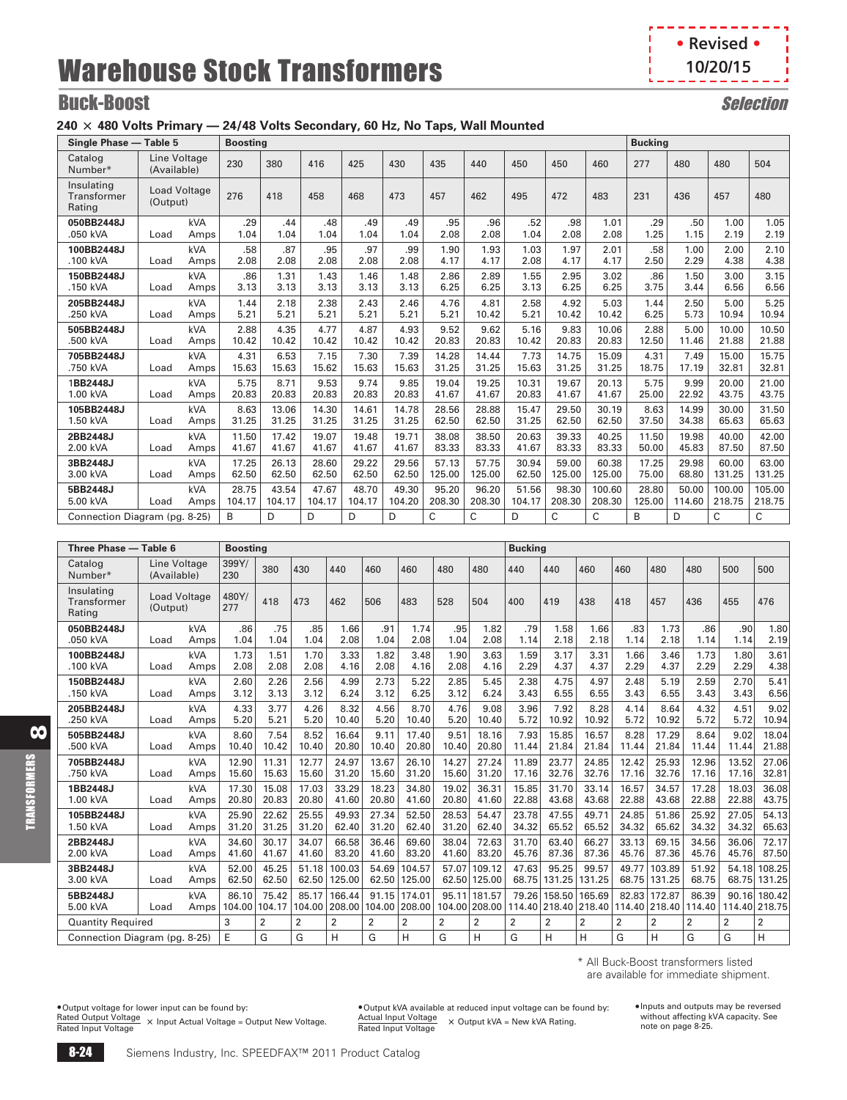**• Revised • 10/20/15**п

J.

# **Buck-Boost** Selection

## **240** @ **480 Volts Primary — 24/48 Volts Secondary, 60 Hz, No Taps, Wall Mounted**

| Single Phase - Table 5              |                                 |            | <b>Boosting</b> |        |        |        |        |        |        |        |        |        | <b>Bucking</b> |        |        |        |
|-------------------------------------|---------------------------------|------------|-----------------|--------|--------|--------|--------|--------|--------|--------|--------|--------|----------------|--------|--------|--------|
| Catalog<br>Number*                  | Line Voltage<br>(Available)     |            | 230             | 380    | 416    | 425    | 430    | 435    | 440    | 450    | 450    | 460    | 277            | 480    | 480    | 504    |
| Insulating<br>Transformer<br>Rating | <b>Load Voltage</b><br>(Output) |            | 276             | 418    | 458    | 468    | 473    | 457    | 462    | 495    | 472    | 483    | 231            | 436    | 457    | 480    |
| 050BB2448J                          | Load                            | kVA        | .29             | .44    | .48    | .49    | .49    | .95    | .96    | .52    | .98    | 1.01   | .29            | .50    | 1.00   | 1.05   |
| .050 kVA                            |                                 | Amps       | 1.04            | 1.04   | 1.04   | 1.04   | 1.04   | 2.08   | 2.08   | 1.04   | 2.08   | 2.08   | 1.25           | 1.15   | 2.19   | 2.19   |
| 100BB2448J                          | Load                            | kVA        | .58             | .87    | .95    | .97    | .99    | 1.90   | 1.93   | 1.03   | 1.97   | 2.01   | .58            | 1.00   | 2.00   | 2.10   |
| .100 kVA                            |                                 | Amps       | 2.08            | 2.08   | 2.08   | 2.08   | 2.08   | 4.17   | 4.17   | 2.08   | 4.17   | 4.17   | 2.50           | 2.29   | 4.38   | 4.38   |
| 150BB2448J                          | Load                            | kVA        | .86             | 1.31   | 1.43   | 1.46   | 1.48   | 2.86   | 2.89   | 1.55   | 2.95   | 3.02   | .86            | 1.50   | 3.00   | 3.15   |
| .150 kVA                            |                                 | Amps       | 3.13            | 3.13   | 3.13   | 3.13   | 3.13   | 6.25   | 6.25   | 3.13   | 6.25   | 6.25   | 3.75           | 3.44   | 6.56   | 6.56   |
| 205BB2448J                          | Load                            | <b>kVA</b> | 1.44            | 2.18   | 2.38   | 2.43   | 2.46   | 4.76   | 4.81   | 2.58   | 4.92   | 5.03   | 1.44           | 2.50   | 5.00   | 5.25   |
| .250 kVA                            |                                 | Amps       | 5.21            | 5.21   | 5.21   | 5.21   | 5.21   | 5.21   | 10.42  | 5.21   | 10.42  | 10.42  | 6.25           | 5.73   | 10.94  | 10.94  |
| 505BB2448J                          | Load                            | <b>kVA</b> | 2.88            | 4.35   | 4.77   | 4.87   | 4.93   | 9.52   | 9.62   | 5.16   | 9.83   | 10.06  | 2.88           | 5.00   | 10.00  | 10.50  |
| .500 kVA                            |                                 | Amps       | 10.42           | 10.42  | 10.42  | 10.42  | 10.42  | 20.83  | 20.83  | 10.42  | 20.83  | 20.83  | 12.50          | 11.46  | 21.88  | 21.88  |
| 705BB2448J                          | Load                            | kVA        | 4.31            | 6.53   | 7.15   | 7.30   | 7.39   | 14.28  | 14.44  | 7.73   | 14.75  | 15.09  | 4.31           | 7.49   | 15.00  | 15.75  |
| .750 kVA                            |                                 | Amps       | 15.63           | 15.63  | 15.62  | 15.63  | 15.63  | 31.25  | 31.25  | 15.63  | 31.25  | 31.25  | 18.75          | 17.19  | 32.81  | 32.81  |
| 1BB2448J                            | Load                            | kVA        | 5.75            | 8.71   | 9.53   | 9.74   | 9.85   | 19.04  | 19.25  | 10.31  | 19.67  | 20.13  | 5.75           | 9.99   | 20.00  | 21.00  |
| 1.00 kVA                            |                                 | Amps       | 20.83           | 20.83  | 20.83  | 20.83  | 20.83  | 41.67  | 41.67  | 20.83  | 41.67  | 41.67  | 25.00          | 22.92  | 43.75  | 43.75  |
| 105BB2448J                          | Load                            | kVA        | 8.63            | 13.06  | 14.30  | 14.61  | 14.78  | 28.56  | 28.88  | 15.47  | 29.50  | 30.19  | 8.63           | 14.99  | 30.00  | 31.50  |
| 1.50 kVA                            |                                 | Amps       | 31.25           | 31.25  | 31.25  | 31.25  | 31.25  | 62.50  | 62.50  | 31.25  | 62.50  | 62.50  | 37.50          | 34.38  | 65.63  | 65.63  |
| 2BB2448J                            | Load                            | kVA        | 11.50           | 17.42  | 19.07  | 19.48  | 19.71  | 38.08  | 38.50  | 20.63  | 39.33  | 40.25  | 11.50          | 19.98  | 40.00  | 42.00  |
| 2.00 kVA                            |                                 | Amps       | 41.67           | 41.67  | 41.67  | 41.67  | 41.67  | 83.33  | 83.33  | 41.67  | 83.33  | 83.33  | 50.00          | 45.83  | 87.50  | 87.50  |
| 3BB2448J                            | Load                            | <b>kVA</b> | 17.25           | 26.13  | 28.60  | 29.22  | 29.56  | 57.13  | 57.75  | 30.94  | 59.00  | 60.38  | 17.25          | 29.98  | 60.00  | 63.00  |
| 3.00 kVA                            |                                 | Amps       | 62.50           | 62.50  | 62.50  | 62.50  | 62.50  | 125.00 | 125.00 | 62.50  | 125.00 | 125.00 | 75.00          | 68.80  | 131.25 | 131.25 |
| 5BB2448J                            | Load                            | <b>kVA</b> | 28.75           | 43.54  | 47.67  | 48.70  | 49.30  | 95.20  | 96.20  | 51.56  | 98.30  | 100.60 | 28.80          | 50.00  | 100.00 | 105.00 |
| 5.00 kVA                            |                                 | Amps       | 104.17          | 104.17 | 104.17 | 104.17 | 104.20 | 208.30 | 208.30 | 104.17 | 208.30 | 208.30 | 125.00         | 114.60 | 218.75 | 218.75 |
|                                     | Connection Diagram (pg. 8-25)   |            | B               | D      | D      | D      | D      | C      | C      | D      | C      | C      | B              | D      | C      | C      |

| Three Phase - Table 6               |                                 |             | <b>Boosting</b> |                 |                 |                  |                |                         |                |                         | <b>Bucking</b> |                         |                  |                |                         |                 |                 |                  |
|-------------------------------------|---------------------------------|-------------|-----------------|-----------------|-----------------|------------------|----------------|-------------------------|----------------|-------------------------|----------------|-------------------------|------------------|----------------|-------------------------|-----------------|-----------------|------------------|
| Catalog<br>Number*                  | Line Voltage<br>(Available)     |             | 399Y/<br>230    | 380             | 430             | 440              | 460            | 460                     | 480            | 480                     | 440            | 440                     | 460              | 460            | 480                     | 480             | 500             | 500              |
| Insulating<br>Transformer<br>Rating | <b>Load Voltage</b><br>(Output) |             | 480Y/<br>277    | 418             | 473             | 462              | 506            | 483                     | 528            | 504                     | 400            | 419                     | 438              | 418            | 457                     | 436             | 455             | 476              |
| 050BB2448J                          | Load                            | kVA         | .86             | .75             | .85             | 1.66             | .91            | 1.74                    | .95            | 1.82                    | .79            | 1.58                    | 1.66             | .83            | 1.73                    | .86             | .90             | 1.80             |
| .050 kVA                            |                                 | Amps        | 1.04            | 1.04            | 1.04            | 2.08             | 1.04           | 2.08                    | 1.04           | 2.08                    | 1.14           | 2.18                    | 2.18             | 1.14           | 2.18                    | 1.14            | 1.14            | 2.19             |
| 100BB2448J                          | Load                            | kVA         | 1.73            | 1.51            | 1.70            | 3.33             | 1.82           | 3.48                    | 1.90           | 3.63                    | 1.59           | 3.17                    | 3.31             | 1.66           | 3.46                    | 1.73            | 1.80            | 3.61             |
| .100 kVA                            |                                 | Amps        | 2.08            | 2.08            | 2.08            | 4.16             | 2.08           | 4.16                    | 2.08           | 4.16                    | 2.29           | 4.37                    | 4.37             | 2.29           | 4.37                    | 2.29            | 2.29            | 4.38             |
| 150BB2448J                          | Load                            | <b>kVA</b>  | 2.60            | 2.26            | 2.56            | 4.99             | 2.73           | 5.22                    | 2.85           | 5.45                    | 2.38           | 4.75                    | 4.97             | 2.48           | 5.19                    | 2.59            | 2.70            | 5.41             |
| .150 kVA                            |                                 | Amps        | 3.12            | 3.13            | 3.12            | 6.24             | 3.12           | 6.25                    | 3.12           | 6.24                    | 3.43           | 6.55                    | 6.55             | 3.43           | 6.55                    | 3.43            | 3.43            | 6.56             |
| 205BB2448J                          | Load                            | <b>kVA</b>  | 4.33            | 3.77            | 4.26            | 8.32             | 4.56           | 8.70                    | 4.76           | 9.08                    | 3.96           | 7.92                    | 8.28             | 4.14           | 8.64                    | 4.32            | 4.51            | 9.02             |
| .250 kVA                            |                                 | Amps        | 5.20            | 5.21            | 5.20            | 10.40            | 5.20           | 10.40                   | 5.20           | 10.40                   | 5.72           | 10.92                   | 10.92            | 5.72           | 10.92                   | 5.72            | 5.72            | 10.94            |
| 505BB2448J                          | Load                            | kVA         | 8.60            | 7.54            | 8.52            | 16.64            | 9.11           | 17.40                   | 9.51           | 18.16                   | 7.93           | 15.85                   | 16.57            | 8.28           | 17.29                   | 8.64            | 9.02            | 18.04            |
| .500 kVA                            |                                 | Amps        | 10.40           | 10.42           | 10.40           | 20.80            | 10.40          | 20.80                   | 10.40          | 20.80                   | 11.44          | 21.84                   | 21.84            | 11.44          | 21.84                   | 11.44           | 11.44           | 21.88            |
| 705BB2448J                          | Load                            | kVA         | 12.90           | 11.31           | 12.77           | 24.97            | 13.67          | 26.10                   | 14.27          | 27.24                   | 11.89          | 23.77                   | 24.85            | 12.42          | 25.93                   | 12.96           | 13.52           | 27.06            |
| .750 kVA                            |                                 | Amps        | 15.60           | 15.63           | 15.60           | 31.20            | 15.60          | 31.20                   | 15.60          | 31.20                   | 17.16          | 32.76                   | 32.76            | 17.16          | 32.76                   | 17.16           | 17.16           | 32.81            |
| 1BB2448J                            | Load                            | kVA         | 17.30           | 15.08           | 17.03           | 33.29            | 18.23          | 34.80                   | 19.02          | 36.31                   | 15.85          | 31.70                   | 33.14            | 16.57          | 34.57                   | 17.28           | 18.03           | 36.08            |
| 1.00 kVA                            |                                 | Amps        | 20.80           | 20.83           | 20.80           | 41.60            | 20.80          | 41.60                   | 20.80          | 41.60                   | 22.88          | 43.68                   | 43.68            | 22.88          | 43.68                   | 22.88           | 22.88           | 43.75            |
| 105BB2448J                          | Load                            | kVA         | 25.90           | 22.62           | 25.55           | 49.93            | 27.34          | 52.50                   | 28.53          | 54.47                   | 23.78          | 47.55                   | 49.71            | 24.85          | 51.86                   | 25.92           | 27.05           | 54.13            |
| 1.50 kVA                            |                                 | Amps        | 31.20           | 31.25           | 31.20           | 62.40            | 31.20          | 62.40                   | 31.20          | 62.40                   | 34.32          | 65.52                   | 65.52            | 34.32          | 65.62                   | 34.32           | 34.32           | 65.63            |
| 2BB2448J                            | Load                            | kVA         | 34.60           | 30.17           | 34.07           | 66.58            | 36.46          | 69.60                   | 38.04          | 72.63                   | 31.70          | 63.40                   | 66.27            | 33.13          | 69.15                   | 34.56           | 36.06           | 72.17            |
| 2.00 kVA                            |                                 | Amps        | 41.60           | 41.67           | 41.60           | 83.20            | 41.60          | 83.20                   | 41.60          | 83.20                   | 45.76          | 87.36                   | 87.36            | 45.76          | 87.36                   | 45.76           | 45.76           | 87.50            |
| 3BB2448J                            | Load                            | <b>kVA</b>  | 52.00           | 45.25           | 51.18           | 100.03           | 54.69          | 104.57                  | 57.07          | 109.12                  | 47.63          | 95.25                   | 99.57            | 49.77          | 103.89                  | 51.92           | 54.18           | 108.25           |
| 3.00 kVA                            |                                 | Amps        | 62.50           | 62.50           | 62.50           | 125.00           | 62.50          | 125.00                  | 62.50          | 125.00                  | 68.75          | 131.25                  | 131.25           | 68.75          | 131.25                  | 68.75           | 68.75           | 131.25           |
| 5BB2448J<br>5.00 kVA                | Load                            | kVA<br>Amps | 86.10<br>104.00 | 75.42<br>104.17 | 85.17<br>104.00 | 166.44<br>208.00 | 91.15          | 174.01<br>104.00 208.00 | 95.11          | 181.57<br>104.00 208.00 | 79.26          | 158.50<br>114.40 218.40 | 165.69<br>218.40 | 82.83          | 172.87<br>114.40 218.40 | 86.39<br>114.40 | 90.16<br>114.40 | 180.42<br>218.75 |
| <b>Quantity Required</b>            |                                 |             | 3               | $\overline{2}$  | 2               | $\overline{2}$   | $\overline{2}$ | $\overline{2}$          | $\overline{2}$ | 2                       | $\overline{2}$ | $\overline{2}$          | $\overline{2}$   | $\overline{2}$ | 2                       | $\overline{2}$  | $\overline{2}$  | $\overline{2}$   |
|                                     | Connection Diagram (pg. 8-25)   |             | E               | G               | G               | H                | G              | H                       | G              | н                       | G              | н                       | H                | G              | н                       | G               | G               | н                |

\* All Buck-Boost transformers listed are available for immediate shipment.

•Output voltage for lower input can be found by: Rated Output Voltage Rated Input Voltage @ Input Actual Voltage = Output New Voltage.

•Output kVA available at reduced input voltage can be found by: Actual Input Voltage Rated Input Voltage @ Output kVA = New kVA Rating.

•Inputs and outputs may be reversed without affecting kVA capacity. See note on page [8-25](#page-8-0).

8

TRANSFORMERS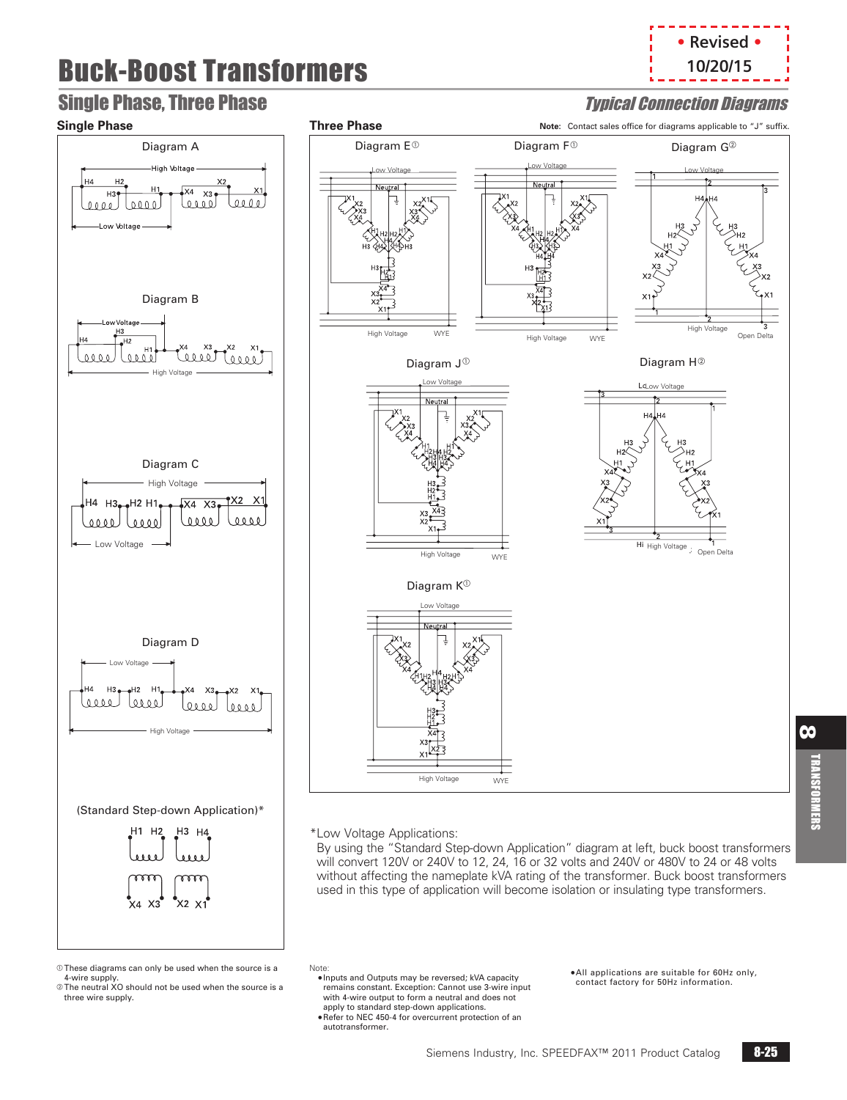# Buck-Boost Transformers







 $@$  These diagrams can only be used when the source is a 4-wire supply. b The neutral XO should not be used when the source is a

three wire supply.

<span id="page-8-0"></span>

\*Low Voltage Applications:

By using the "Standard Step-down Application" diagram at left, buck boost transformers will convert 120V or 240V to 12, 24, 16 or 32 volts and 240V or 480V to 24 or 48 volts without affecting the nameplate kVA rating of the transformer. Buck boost transformers used in this type of application will become isolation or insulating type transformers.

- •Inputs and Outputs may be reversed; kVA capacity remains constant. Exception: Cannot use 3-wire input with 4-wire output to form a neutral and does not
- apply to standard step-down applications. •Refer to NEC 450-4 for overcurrent protection of an autotransformer.

 •All applications are suitable for 60Hz only, contact factory for 50Hz information.

8

Note: